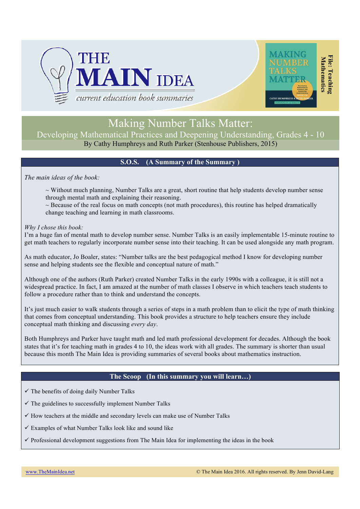



# Making Number Talks Matter:

Developing Mathematical Practices and Deepening Understanding, Grades 4 - 10 By Cathy Humphreys and Ruth Parker (Stenhouse Publishers, 2015)

# **S.O.S. (A Summary of the Summary )**

*The main ideas of the book:*

 $\sim$  Without much planning, Number Talks are a great, short routine that help students develop number sense through mental math and explaining their reasoning.

 $\sim$  Because of the real focus on math concepts (not math procedures), this routine has helped dramatically change teaching and learning in math classrooms.

### *Why I chose this book:*

I'm a huge fan of mental math to develop number sense. Number Talks is an easily implementable 15-minute routine to get math teachers to regularly incorporate number sense into their teaching. It can be used alongside any math program.

As math educator, Jo Boaler, states: "Number talks are the best pedagogical method I know for developing number sense and helping students see the flexible and conceptual nature of math."

Although one of the authors (Ruth Parker) created Number Talks in the early 1990s with a colleague, it is still not a widespread practice. In fact, I am amazed at the number of math classes I observe in which teachers teach students to follow a procedure rather than to think and understand the concepts.

It's just much easier to walk students through a series of steps in a math problem than to elicit the type of math thinking that comes from conceptual understanding. This book provides a structure to help teachers ensure they include conceptual math thinking and discussing *every day*.

Both Humphreys and Parker have taught math and led math professional development for decades. Although the book states that it's for teaching math in grades 4 to 10, the ideas work with all grades. The summary is shorter than usual because this month The Main Idea is providing summaries of several books about mathematics instruction.

### **The Scoop (In this summary you will learn…)**

 $\checkmark$  The benefits of doing daily Number Talks

 $\checkmark$  The guidelines to successfully implement Number Talks

 $\checkmark$  How teachers at the middle and secondary levels can make use of Number Talks

 $\checkmark$  Examples of what Number Talks look like and sound like

 $\checkmark$  Professional development suggestions from The Main Idea for implementing the ideas in the book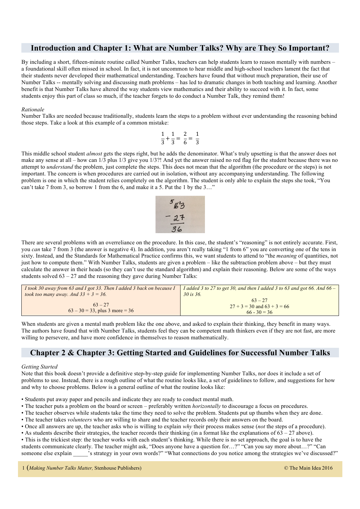# **Introduction and Chapter 1: What are Number Talks? Why are They So Important?**

By including a short, fifteen-minute routine called Number Talks, teachers can help students learn to reason mentally with numbers – a foundational skill often missed in school. In fact, it is not uncommon to hear middle and high-school teachers lament the fact that their students never developed their mathematical understanding. Teachers have found that without much preparation, their use of Number Talks -- mentally solving and discussing math problems – has led to dramatic changes in both teaching and learning. Another benefit is that Number Talks have altered the way students view mathematics and their ability to succeed with it. In fact, some students enjoy this part of class so much, if the teacher forgets to do conduct a Number Talk, they remind them!

#### *Rationale*

Number Talks are needed because traditionally, students learn the steps to a problem without ever understanding the reasoning behind those steps. Take a look at this example of a common mistake:

$$
\frac{1}{3} + \frac{1}{3} = \frac{2}{6} = \frac{1}{3}
$$

This middle school student *almost* gets the steps right, but he adds the denominator. What's truly upsetting is that the answer does not make any sense at all – how can 1/3 plus 1/3 give you 1/3?! And yet the answer raised no red flag for the student because there was no attempt to *understand* the problem, just complete the steps. This does not mean that the algorithm (the procedure or the steps) is not important. The concern is when procedures are carried out in isolation, without any accompanying understanding. The following problem is one in which the student relies completely on the algorithm. The student is only able to explain the steps she took, "You can't take 7 from 3, so borrow 1 from the 6, and make it a 5. Put the 1 by the 3…"



There are several problems with an overreliance on the procedure. In this case, the student's "reasoning" is not entirely accurate. First, you *can* take 7 from 3 (the answer is negative 4). In addition, you aren't really taking "1 from 6" you are converting one of the tens in sixty. Instead, and the Standards for Mathematical Practice confirms this, we want students to attend to "the *meaning* of quantities, not just how to compute them." With Number Talks, students are given a problem – like the subtraction problem above – but they must calculate the answer in their heads (so they can't use the standard algorithm) and explain their reasoning. Below are some of the ways students solved  $63 - 27$  and the reasoning they gave during Number Talks:

| I took 30 away from 63 and I got 33. Then I added 3 back on because I | I added 3 to 27 to get 30, and then I added 3 to 63 and got 66. And $66 -$ |
|-----------------------------------------------------------------------|----------------------------------------------------------------------------|
| took too many away. And $33 + 3 = 36$ .                               | $30$ is 36.                                                                |
| $63 - 27$<br>$63 - 30 = 33$ , plus 3 more = 36                        | $63 - 27$<br>$27 + 3 = 30$ and $63 + 3 = 66$<br>$66 - 30 = 36$             |

When students are given a mental math problem like the one above, and asked to explain their thinking, they benefit in many ways. The authors have found that with Number Talks, students feel they can be competent math thinkers even if they are not fast, are more willing to persevere, and have more confidence in themselves to reason mathematically.

# **Chapter 2 & Chapter 3: Getting Started and Guidelines for Successful Number Talks**

#### *Getting Started*

Note that this book doesn't provide a definitive step-by-step guide for implementing Number Talks, nor does it include a set of problems to use. Instead, there is a rough outline of what the routine looks like, a set of guidelines to follow, and suggestions for how and why to choose problems. Below is a general outline of what the routine looks like:

• Students put away paper and pencils and indicate they are ready to conduct mental math.

- The teacher puts a problem on the board or screen preferably written *horizontally* to discourage a focus on procedures.
- The teacher observes while students take the time they need to solve the problem. Students put up thumbs when they are done.
- The teacher takes *volunteers* who are willing to share and the teacher records only their answers on the board.
- Once all answers are up, the teacher asks who is willing to explain *why* their process makes sense (*not* the steps of a procedure).
- As students describe their strategies, the teacher records their thinking (in a format like the explanations of  $63 27$  above).
- This is the trickiest step: the teacher works with each student's thinking. While there is no set approach, the goal is to have the students communicate clearly. The teacher might ask, "Does anyone have a question for…?" "Can you say more about…?" "Can someone else explain \_\_\_\_\_'s strategy in your own words?" "What connections do you notice among the strategies we've discussed?"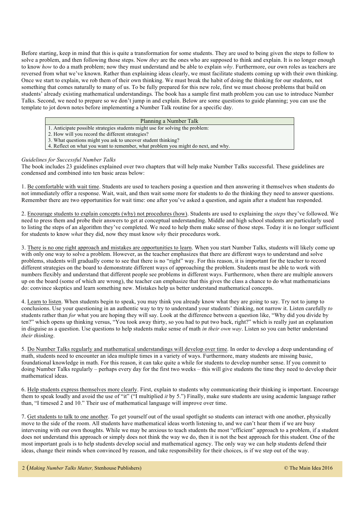Before starting, keep in mind that this is quite a transformation for some students. They are used to being given the steps to follow to solve a problem, and then following those steps. Now *they* are the ones who are supposed to think and explain. It is no longer enough to know *how* to do a math problem; now they must understand and be able to explain *why*. Furthermore, our own roles as teachers are reversed from what we've known. Rather than explaining ideas clearly, we must facilitate students coming up with their own thinking. Once we start to explain, we rob them of their own thinking. We must break the habit of doing the thinking for our students, not something that comes naturally to many of us. To be fully prepared for this new role, first we must choose problems that build on students' already existing mathematical understandings. The book has a sample first math problem you can use to introduce Number Talks. Second, we need to prepare so we don't jump in and explain. Below are some questions to guide planning; you can use the template to jot down notes before implementing a Number Talk routine for a specific day.

#### Planning a Number Talk

- 1. Anticipate possible strategies students might use for solving the problem:
- 2. How will you record the different strategies?
- 3. What questions might you ask to uncover student thinking?
- 4. Reflect on what you want to remember, what problem you might do next, and why.

#### *Guidelines for Successful Number Talks*

The book includes 23 guidelines explained over two chapters that will help make Number Talks successful. These guidelines are condensed and combined into ten basic areas below:

1. Be comfortable with wait time. Students are used to teachers posing a question and then answering it themselves when students do not immediately offer a response. Wait, wait, and then wait some more for students to do the thinking they need to answer questions. Remember there are two opportunities for wait time: one after you've asked a question, and again after a student has responded.

2. Encourage students to explain concepts (why) not procedures (how). Students are used to explaining the *steps* they've followed. We need to press them and probe their answers to get at conceptual understanding. Middle and high school students are particularly used to listing the steps of an algorithm they've completed. We need to help them make sense of those steps. Today it is no longer sufficient for students to know *what* they did, now they must know *why* their procedures work.

3. There is no one right approach and mistakes are opportunities to learn. When you start Number Talks, students will likely come up with only one way to solve a problem. However, as the teacher emphasizes that there are different ways to understand and solve problems, students will gradually come to see that there is no "right" way. For this reason, it is important for the teacher to record different strategies on the board to demonstrate different ways of approaching the problem. Students must be able to work with numbers flexibly and understand that different people see problems in different ways. Furthermore, when there are multiple answers up on the board (some of which are wrong), the teacher can emphasize that this gives the class a chance to do what mathematicians do: convince skeptics and learn something new. Mistakes help us better understand mathematical concepts.

4. Learn to listen. When students begin to speak, you may think you already know what they are going to say. Try not to jump to conclusions. Use your questioning in an authentic way to try to understand your students' thinking, not narrow it. Listen carefully *to* students rather than *for* what you are hoping they will say. Look at the difference between a question like, "Why did you divide by ten?" which opens up thinking versus, "You took away thirty, so you had to put two back, right?" which is really just an explanation in disguise as a question. Use questions to help students make sense of math *in their own way*. Listen so you can better understand *their thinking*.

5. Do Number Talks regularly and mathematical understandings will develop over time. In order to develop a deep understanding of math, students need to encounter an idea multiple times in a variety of ways. Furthermore, many students are missing basic, foundational knowledge in math. For this reason, it can take quite a while for students to develop number sense. If you commit to doing Number Talks regularly – perhaps every day for the first two weeks – this will give students the time they need to develop their mathematical ideas.

6. Help students express themselves more clearly. First, explain to students why communicating their thinking is important. Encourage them to speak loudly and avoid the use of "it" ("I multiplied *it* by 5.") Finally, make sure students are using academic language rather than, "I timesed 2 and 10." Their use of mathematical language will improve over time.

7. Get students to talk to one another. To get yourself out of the usual spotlight so students can interact with one another, physically move to the side of the room. All students have mathematical ideas worth listening to, and we can't hear them if we are busy intervening with our own thoughts. While we may be anxious to teach students the most "efficient" approach to a problem, if a student does not understand this approach or simply does not think the way we do, then it is not the best approach for this student. One of the most important goals is to help students develop social and mathematical agency. The only way we can help students defend their ideas, change their minds when convinced by reason, and take responsibility for their choices, is if we step out of the way.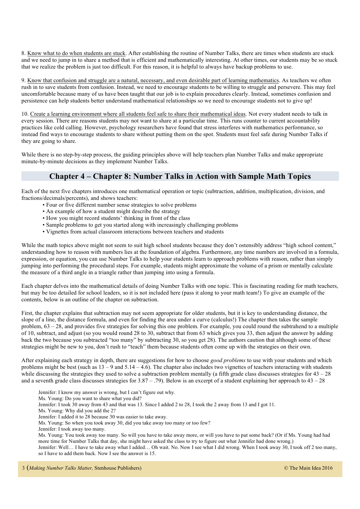8. Know what to do when students are stuck. After establishing the routine of Number Talks, there are times when students are stuck and we need to jump in to share a method that is efficient and mathematically interesting. At other times, our students may be so stuck that we realize the problem is just too difficult. For this reason, it is helpful to always have backup problems to use.

9. Know that confusion and struggle are a natural, necessary, and even desirable part of learning mathematics. As teachers we often rush in to save students from confusion. Instead, we need to encourage students to be willing to struggle and persevere. This may feel uncomfortable because many of us have been taught that our job is to explain procedures clearly. Instead, sometimes confusion and persistence can help students better understand mathematical relationships so we need to encourage students not to give up!

10. Create a learning environment where all students feel safe to share their mathematical ideas. Not every student needs to talk in every session. There are reasons students may not want to share at a particular time. This runs counter to current accountability practices like cold calling. However, psychology researchers have found that stress interferes with mathematics performance, so instead find ways to encourage students to share without putting them on the spot. Students must feel safe during Number Talks if they are going to share.

While there is no step-by-step process, the guiding principles above will help teachers plan Number Talks and make appropriate minute-by-minute decisions as they implement Number Talks.

# **Chapter 4 – Chapter 8: Number Talks in Action with Sample Math Topics**

Each of the next five chapters introduces one mathematical operation or topic (subtraction, addition, multiplication, division, and fractions/decimals/percents), and shows teachers:

- Four or five different number sense strategies to solve problems
- An example of how a student might describe the strategy
- How you might record students' thinking in front of the class
- Sample problems to get you started along with increasingly challenging problems
- Vignettes from actual classroom interactions between teachers and students

While the math topics above might not seem to suit high school students because they don't ostensibly address "high school content," understanding how to reason with numbers lies at the foundation of algebra. Furthermore, any time numbers are involved in a formula, expression, or equation, you can use Number Talks to help your students learn to approach problems with reason, rather than simply jumping into performing the procedural steps. For example, students might approximate the volume of a prism or mentally calculate the measure of a third angle in a triangle rather than jumping into using a formula.

Each chapter delves into the mathematical details of doing Number Talks with one topic. This is fascinating reading for math teachers, but may be too detailed for school leaders, so it is not included here (pass it along to your math team!) To give an example of the contents, below is an outline of the chapter on subtraction.

First, the chapter explains that subtraction may not seem appropriate for older students, but it is key to understanding distance, the slope of a line, the distance formula, and even for finding the area under a curve (calculus!) The chapter then takes the sample problem, 63 – 28, and provides five strategies for solving this one problem. For example, you could round the subtrahend to a multiple of 10, subtract, and adjust (so you would round 28 to 30, subtract that from 63 which gives you 33, then adjust the answer by adding back the two because you subtracted "too many" by subtracting 30, so you get 28). The authors caution that although some of these strategies might be new to you, don't rush to "teach" them because students often come up with the strategies on their own.

After explaining each strategy in depth, there are suggestions for how to choose *good problems* to use with your students and which problems might be best (such as  $13 - 9$  and  $5.14 - 4.6$ ). The chapter also includes two vignettes of teachers interacting with students while discussing the strategies they used to solve a subtraction problem mentally (a fifth grade class discusses strategies for  $43 - 28$ and a seventh grade class discusses strategies for  $3.87 - .79$ ). Below is an excerpt of a student explaining her approach to  $43 - 28$ 

Jennifer: I know my answer is wrong, but I can't figure out why.

- Ms. Young: Do you want to share what you did?
- Jennifer: I took 30 away from 43 and that was 13. Since I added 2 to 28, I took the 2 away from 13 and I got 11.
- Ms. Young: Why did you add the 2?
- Jennifer: I added it to 28 because 30 was easier to take away.
- Ms. Young: So when you took away 30, did you take away too many or too few?
- Jennifer: I took away too many.

Ms. Young: You took away too many. So will you have to take away more, or will you have to put some back? (Or if Ms. Young had had more time for Number Talks that day, she might have asked the class to try to figure out what Jennifer had done wrong.)

Jennifer: Well… I have to take away what I added… Oh wait. No. Now I see what I did wrong. When I took away 30, I took off 2 too many, so I have to add them back. Now I see the answer is 15.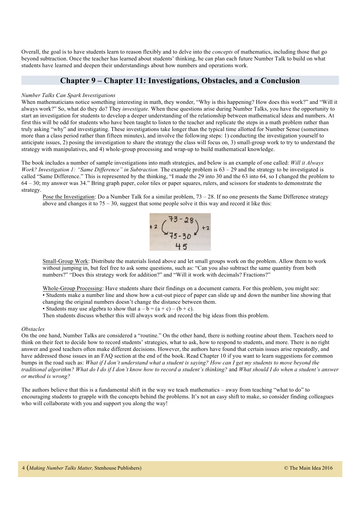Overall, the goal is to have students learn to reason flexibly and to delve into the *concepts* of mathematics, including those that go beyond subtraction. Once the teacher has learned about students' thinking, he can plan each future Number Talk to build on what students have learned and deepen their understandings about how numbers and operations work.

### **Chapter 9 – Chapter 11: Investigations, Obstacles, and a Conclusion**

#### *Number Talks Can Spark Investigations*

When mathematicians notice something interesting in math, they wonder, "Why is this happening? How does this work?" and "Will it always work?" So, what do they do? They *investigate*. When these questions arise during Number Talks, you have the opportunity to start an investigation for students to develop a deeper understanding of the relationship between mathematical ideas and numbers. At first this will be odd for students who have been taught to listen to the teacher and replicate the steps in a math problem rather than truly asking "why" and investigating. These investigations take longer than the typical time allotted for Number Sense (sometimes more than a class period rather than fifteen minutes), and involve the following steps: 1) conducting the investigation yourself to anticipate issues, 2) posing the investigation to share the strategy the class will focus on, 3) small-group work to try to understand the strategy with manipulatives, and 4) whole-group processing and wrap-up to build mathematical knowledge.

The book includes a number of sample investigations into math strategies, and below is an example of one called: *Will it Always Work? Investigation 1: "Same Difference" in Subtraction.* The example problem is 63 – 29 and the strategy to be investigated is called "Same Difference." This is represented by the thinking, "I made the 29 into 30 and the 63 into 64, so I changed the problem to 64 – 30; my answer was 34." Bring graph paper, color tiles or paper squares, rulers, and scissors for students to demonstrate the strategy.

Pose the Investigation: Do a Number Talk for a similar problem,  $73 - 28$ . If no one presents the Same Difference strategy above and changes it to  $75 - 30$ , suggest that some people solve it this way and record it like this:



Small-Group Work: Distribute the materials listed above and let small groups work on the problem. Allow them to work without jumping in, but feel free to ask some questions, such as: "Can you also subtract the same quantity from both numbers?" "Does this strategy work for addition?" and "Will it work with decimals? Fractions?"

Whole-Group Processing: Have students share their findings on a document camera. For this problem, you might see: • Students make a number line and show how a cut-out piece of paper can slide up and down the number line showing that changing the original numbers doesn't change the distance between them.

• Students may use algebra to show that  $a - b = (a + c) - (b + c)$ .

Then students discuss whether this will always work and record the big ideas from this problem.

#### *Obstacles*

On the one hand, Number Talks are considered a "routine." On the other hand, there is nothing routine about them. Teachers need to think on their feet to decide how to record students' strategies, what to ask, how to respond to students, and more. There is no right answer and good teachers often make different decisions. However, the authors have found that certain issues arise repeatedly, and have addressed those issues in an FAQ section at the end of the book. Read Chapter 10 if you want to learn suggestions for common bumps in the road such as: *What if I don't understand what a student is saying? How can I get my students to move beyond the traditional algorithm? What do I do if I don't know how to record a student's thinking?* and *What should I do when a student's answer or method is wrong?*

The authors believe that this is a fundamental shift in the way we teach mathematics – away from teaching "what to do" to encouraging students to grapple with the concepts behind the problems. It's not an easy shift to make, so consider finding colleagues who will collaborate with you and support you along the way!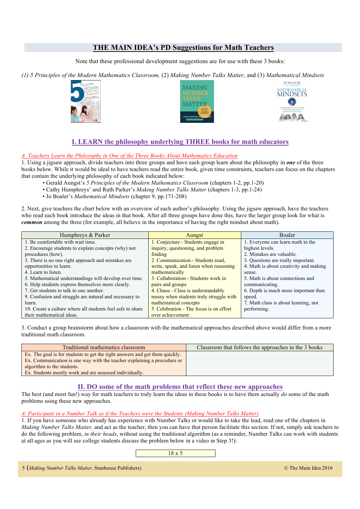# **THE MAIN IDEA's PD Suggestions for Math Teachers**

Note that these professional development suggestions are for use with these 3 books:

*(1) 5 Principles of the Modern Mathematics Classroom,* (2) *Making Number Talks Matter,* and (3) *Mathematical Mindsets*







# **I. LEARN the philosophy underlying THREE books for math educators**

#### *A. Teachers Learn the Philosophy in One of the Three Books About Mathematics Education*

1. Using a jigsaw approach, divide teachers into three groups and have each group learn about the philosophy in *one* of the three books below. While it would be ideal to have teachers read the entire book, given time constraints, teachers can focus on the chapters that contain the underlying philosophy of each book indicated below:

• Gerald Aungst's *5 Principles of the Modern Mathematics Classroom* (chapters 1-2, pp.1-20)

- Cathy Humphreys' and Ruth Parker's *Making Number Talks Matter* (chapters 1-3, pp.1-24)
- Jo Boaler's *Mathematical Mindsets* (chapter 9, pp.171-208)

2. Next, give teachers the chart below with an overview of each author's philosophy. Using the jigsaw approach, have the teachers who read each book introduce the ideas in that book. After all three groups have done this, have the larger group look for what is *common* among the three (for example, all believe in the importance of having the right mindset about math).

| Humphreys & Parker                                         | Aungst                                  | <b>Boaler</b>                          |
|------------------------------------------------------------|-----------------------------------------|----------------------------------------|
| 1. Be comfortable with wait time.                          | 1. Conjecture - Students engage in      | 1. Everyone can learn math to the      |
| 2. Encourage students to explain concepts (why) not        | inquiry, questioning, and problem       | highest levels.                        |
| procedures (how).                                          | finding                                 | 2. Mistakes are valuable.              |
| 3. There is no one right approach and mistakes are         | 2. Communication - Students read,       | 3. Questions are really important.     |
| opportunities to learn.                                    | write, speak, and listen when reasoning | 4. Math is about creativity and making |
| 4. Learn to listen.                                        | mathematically                          | sense.                                 |
| 5. Mathematical understandings will develop over time.     | 3. Collaboration - Students work in     | 5. Math is about connections and       |
| 6. Help students express themselves more clearly.          | pairs and groups                        | communicating.                         |
| 7. Get students to talk to one another.                    | 4. Chaos - Class is understandably      | 6. Depth is much more important than   |
| 9. Confusion and struggle are natural and necessary to     | messy when students truly struggle with | speed.                                 |
| learn.                                                     | mathematical concepts                   | 7. Math class is about learning, not   |
| 10. Create a culture where all students feel safe to share | 5. Celebration - The focus is on effort | performing.                            |
| their mathematical ideas.                                  | over achievement                        |                                        |

3. Conduct a group brainstorm about how a classroom with the mathematical approaches described above would differ from a more traditional math classroom.

| Traditional mathematics classroom                                           | Classroom that follows the approaches in the 3 books |
|-----------------------------------------------------------------------------|------------------------------------------------------|
| Ex. The goal is for students to get the right answers and get them quickly. |                                                      |
| Ex. Communication is one way with the teacher explaining a procedure or     |                                                      |
| algorithm to the students.                                                  |                                                      |
| Ex. Students mostly work and are assessed individually.                     |                                                      |

### **II. DO some of the math problems that reflect these new approaches**

The best (and most fun!) way for math teachers to truly learn the ideas in these books is to have them actually  $d\rho$  some of the math problems using these new approaches.

### *A. Participate in a Number Talk as if the Teachers were the Students (Making Number Talks Matter)*

1. If you have someone who already has experience with Number Talks or would like to take the lead, read one of the chapters in *Making Number Talks Matter,* and act as the teacher, then you can have that person facilitate this section. If not, simply ask teachers to do the following problem, *in their heads*, without using the traditional algorithm (as a reminder, Number Talks can work with students at all ages as you will see college students discuss the problem below in a video in Step 3!):

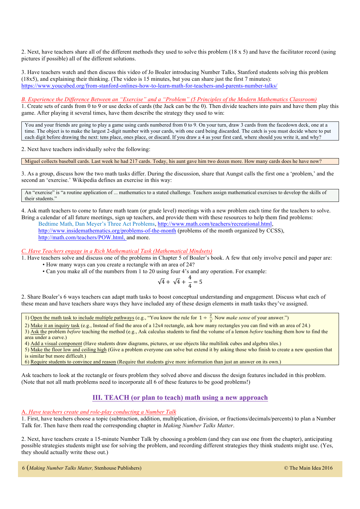2. Next, have teachers share all of the different methods they used to solve this problem (18 x 5) and have the facilitator record (using pictures if possible) all of the different solutions.

3. Have teachers watch and then discuss this video of Jo Boaler introducing Number Talks, Stanford students solving this problem (18x5), and explaining their thinking. (The video is 15 minutes, but you can share just the first 7 minutes): https://www.youcubed.org/from-stanford-onlines-how-to-learn-math-for-teachers-and-parents-number-talks/

*B. Experience the Difference Between an "Exercise" and a "Problem" (5 Principles of the Modern Mathematics Classroom)*

1. Create sets of cards from 0 to 9 or use decks of cards (the Jack can be the 0). Then divide teachers into pairs and have them play this game. After playing it several times, have them describe the strategy they used to win:

You and your friends are going to play a game using cards numbered from 0 to 9. On your turn, draw 3 cards from the facedown deck, one at a time. The object is to make the largest 2-digit number with your cards, with one card being discarded. The catch is you must decide where to put each digit before drawing the next: tens place, ones place, or discard. If you draw a 4 as your first card, where should you write it, and why?

2. Next have teachers individually solve the following:

Miguel collects baseball cards. Last week he had 217 cards. Today, his aunt gave him two dozen more. How many cards does he have now?

3. As a group, discuss how the two math tasks differ. During the discussion, share that Aungst calls the first one a 'problem,' and the second an 'exercise.' Wikipedia defines an exercise in this way:

An "exercise" is "a routine application of ... mathematics to a stated challenge. Teachers assign mathematical exercises to develop the skills of their students."

4. Ask math teachers to come to future math team (or grade level) meetings with a new problem each time for the teachers to solve. Bring a calendar of all future meetings, sign up teachers, and provide them with these resources to help them find problems: Bedtime Math, Dan Meyer's Three Act Problems, http://www.math.com/teachers/recreational.html, http://www.insidemathematics.org/problems-of-the-month (problems of the month organized by CCSS),

http://math.com/teachers/POW.html, and more.

*C. Have Teachers engage in a Rich Mathematical Task (Mathematical Mindsets)*

1. Have teachers solve and discuss one of the problems in Chapter 5 of Boaler's book. A few that only involve pencil and paper are:

- How many ways can you create a rectangle with an area of 24?
- Can you make all of the numbers from 1 to 20 using four 4's and any operation. For example:

$$
\sqrt{4} + \sqrt{4} + \frac{4}{4} = 5
$$

2. Share Boaler's 6 ways teachers can adapt math tasks to boost conceptual understanding and engagement. Discuss what each of these mean and have teachers share ways they have included any of these design elements in math tasks they've assigned.

1) Open the math task to include multiple pathways (e.g., "You know the rule for  $1 \div \frac{2}{3}$ . Now *make sense* of your answer.")

2) Make it an inquiry task (e.g., Instead of find the area of a 12x4 rectangle, ask how many rectangles you can find with an area of 24.) 3) Ask the problem *before* teaching the method (e.g., Ask calculus students to find the volume of a lemon *before* teaching them how to find the area under a curve.)

4) Add a visual component (Have students draw diagrams, pictures, or use objects like multilink cubes and algebra tiles.)

5) Make the floor low and ceiling high (Give a problem everyone can solve but extend it by asking those who finish to create a new question that is similar but more difficult.)

6) Require students to convince and reason (Require that students give more information than just an answer on its own.)

Ask teachers to look at the rectangle or fours problem they solved above and discuss the design features included in this problem. (Note that not all math problems need to incorporate all 6 of these features to be good problems!)

# **III. TEACH (or plan to teach) math using a new approach**

#### A. *Have teachers create and role-play conducting a Number Talk*

1. First, have teachers choose a topic (subtraction, addition, multiplication, division, or fractions/decimals/percents) to plan a Number Talk for. Then have them read the corresponding chapter in *Making Number Talks Matter*.

2. Next, have teachers create a 15-minute Number Talk by choosing a problem (and they can use one from the chapter), anticipating possible strategies students might use for solving the problem, and recording different strategies they think students might use. (Yes, they should actually write these out.)